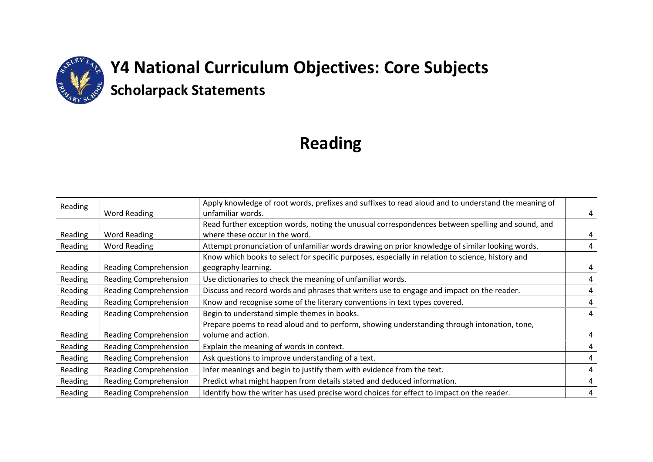

# **Y4 National Curriculum Objectives: Core Subjects Scholarpack Statements**

# **Reading**

| Reading |                              | Apply knowledge of root words, prefixes and suffixes to read aloud and to understand the meaning of |   |
|---------|------------------------------|-----------------------------------------------------------------------------------------------------|---|
|         | Word Reading                 | unfamiliar words.                                                                                   | 4 |
|         |                              | Read further exception words, noting the unusual correspondences between spelling and sound, and    |   |
| Reading | Word Reading                 | where these occur in the word.                                                                      | 4 |
| Reading | Word Reading                 | Attempt pronunciation of unfamiliar words drawing on prior knowledge of similar looking words.      | 4 |
|         |                              | Know which books to select for specific purposes, especially in relation to science, history and    |   |
| Reading | <b>Reading Comprehension</b> | geography learning.                                                                                 |   |
| Reading | Reading Comprehension        | Use dictionaries to check the meaning of unfamiliar words.                                          | 4 |
| Reading | <b>Reading Comprehension</b> | Discuss and record words and phrases that writers use to engage and impact on the reader.           |   |
| Reading | <b>Reading Comprehension</b> | Know and recognise some of the literary conventions in text types covered.                          | 4 |
| Reading | <b>Reading Comprehension</b> | Begin to understand simple themes in books.                                                         | 4 |
|         |                              | Prepare poems to read aloud and to perform, showing understanding through intonation, tone,         |   |
| Reading | Reading Comprehension        | volume and action.                                                                                  | 4 |
| Reading | <b>Reading Comprehension</b> | Explain the meaning of words in context.                                                            | 4 |
| Reading | <b>Reading Comprehension</b> | Ask questions to improve understanding of a text.                                                   |   |
| Reading | Reading Comprehension        | Infer meanings and begin to justify them with evidence from the text.                               | 4 |
| Reading | <b>Reading Comprehension</b> | Predict what might happen from details stated and deduced information.                              | 4 |
| Reading | <b>Reading Comprehension</b> | Identify how the writer has used precise word choices for effect to impact on the reader.           | 4 |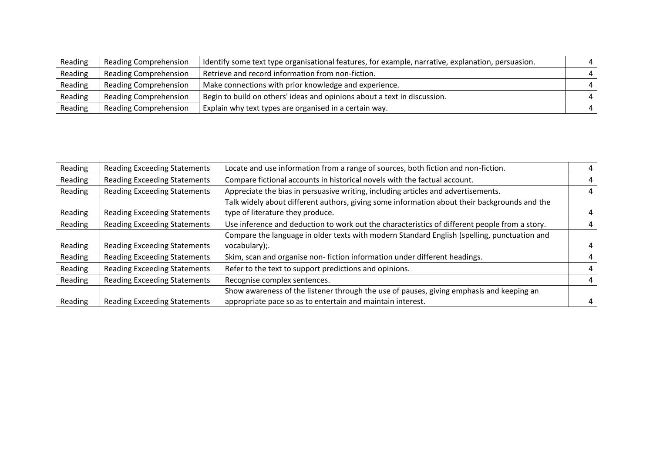| Reading | Reading Comprehension        | Identify some text type organisational features, for example, narrative, explanation, persuasion. | $\overline{a}$ |
|---------|------------------------------|---------------------------------------------------------------------------------------------------|----------------|
| Reading | <b>Reading Comprehension</b> | Retrieve and record information from non-fiction.                                                 | $\overline{4}$ |
| Reading | <b>Reading Comprehension</b> | Make connections with prior knowledge and experience.                                             | $\overline{4}$ |
| Reading | <b>Reading Comprehension</b> | Begin to build on others' ideas and opinions about a text in discussion.                          | $\overline{a}$ |
| Reading | <b>Reading Comprehension</b> | Explain why text types are organised in a certain way.                                            | $\overline{a}$ |

| Reading | <b>Reading Exceeding Statements</b> | Locate and use information from a range of sources, both fiction and non-fiction.             |   |
|---------|-------------------------------------|-----------------------------------------------------------------------------------------------|---|
| Reading | <b>Reading Exceeding Statements</b> | Compare fictional accounts in historical novels with the factual account.                     |   |
| Reading | <b>Reading Exceeding Statements</b> | Appreciate the bias in persuasive writing, including articles and advertisements.             |   |
|         |                                     | Talk widely about different authors, giving some information about their backgrounds and the  |   |
| Reading | <b>Reading Exceeding Statements</b> | type of literature they produce.                                                              | 4 |
| Reading | <b>Reading Exceeding Statements</b> | Use inference and deduction to work out the characteristics of different people from a story. | 4 |
|         |                                     | Compare the language in older texts with modern Standard English (spelling, punctuation and   |   |
| Reading | <b>Reading Exceeding Statements</b> | vocabulary);                                                                                  | 4 |
| Reading | <b>Reading Exceeding Statements</b> | Skim, scan and organise non-fiction information under different headings.                     | 4 |
| Reading | <b>Reading Exceeding Statements</b> | Refer to the text to support predictions and opinions.                                        |   |
| Reading | <b>Reading Exceeding Statements</b> | Recognise complex sentences.                                                                  | 4 |
|         |                                     | Show awareness of the listener through the use of pauses, giving emphasis and keeping an      |   |
| Reading | <b>Reading Exceeding Statements</b> | appropriate pace so as to entertain and maintain interest.                                    |   |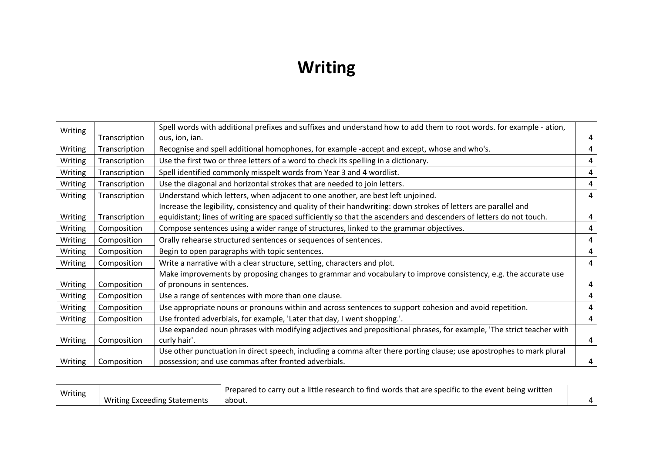# **Writing**

| Writing |               | Spell words with additional prefixes and suffixes and understand how to add them to root words. for example - ation, |   |
|---------|---------------|----------------------------------------------------------------------------------------------------------------------|---|
|         | Transcription | ous, ion, ian.                                                                                                       | 4 |
| Writing | Transcription | Recognise and spell additional homophones, for example -accept and except, whose and who's.                          | 4 |
| Writing | Transcription | Use the first two or three letters of a word to check its spelling in a dictionary.                                  | 4 |
| Writing | Transcription | Spell identified commonly misspelt words from Year 3 and 4 wordlist.                                                 | 4 |
| Writing | Transcription | Use the diagonal and horizontal strokes that are needed to join letters.                                             | 4 |
| Writing | Transcription | Understand which letters, when adjacent to one another, are best left unjoined.                                      | 4 |
|         |               | Increase the legibility, consistency and quality of their handwriting: down strokes of letters are parallel and      |   |
| Writing | Transcription | equidistant; lines of writing are spaced sufficiently so that the ascenders and descenders of letters do not touch.  | 4 |
| Writing | Composition   | Compose sentences using a wider range of structures, linked to the grammar objectives.                               | 4 |
| Writing | Composition   | Orally rehearse structured sentences or sequences of sentences.                                                      | 4 |
| Writing | Composition   | Begin to open paragraphs with topic sentences.                                                                       | 4 |
| Writing | Composition   | Write a narrative with a clear structure, setting, characters and plot.                                              | 4 |
|         |               | Make improvements by proposing changes to grammar and vocabulary to improve consistency, e.g. the accurate use       |   |
| Writing | Composition   | of pronouns in sentences.                                                                                            | 4 |
| Writing | Composition   | Use a range of sentences with more than one clause.                                                                  | 4 |
| Writing | Composition   | Use appropriate nouns or pronouns within and across sentences to support cohesion and avoid repetition.              | 4 |
| Writing | Composition   | Use fronted adverbials, for example, 'Later that day, I went shopping.'.                                             | 4 |
|         |               | Use expanded noun phrases with modifying adjectives and prepositional phrases, for example, 'The strict teacher with |   |
| Writing | Composition   | curly hair'.                                                                                                         | 4 |
|         |               | Use other punctuation in direct speech, including a comma after there porting clause; use apostrophes to mark plural |   |
| Writing | Composition   | possession; and use commas after fronted adverbials.                                                                 | 4 |

| Writing | Prepared to carry out a little research to find words that are specific to the event being written |       |  |
|---------|----------------------------------------------------------------------------------------------------|-------|--|
|         | Writing Exceeding Statements                                                                       | about |  |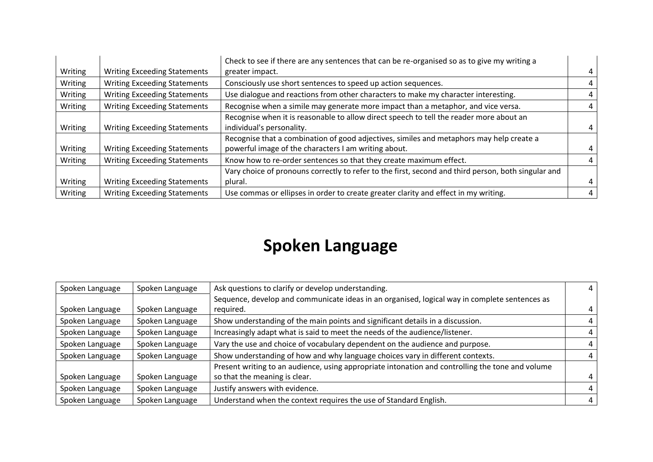|         |                                     | Check to see if there are any sentences that can be re-organised so as to give my writing a         |   |
|---------|-------------------------------------|-----------------------------------------------------------------------------------------------------|---|
| Writing | <b>Writing Exceeding Statements</b> | greater impact.                                                                                     | 4 |
| Writing | <b>Writing Exceeding Statements</b> | Consciously use short sentences to speed up action sequences.                                       | 4 |
| Writing | <b>Writing Exceeding Statements</b> | Use dialogue and reactions from other characters to make my character interesting.                  |   |
| Writing | <b>Writing Exceeding Statements</b> | Recognise when a simile may generate more impact than a metaphor, and vice versa.                   | 4 |
|         |                                     | Recognise when it is reasonable to allow direct speech to tell the reader more about an             |   |
| Writing | <b>Writing Exceeding Statements</b> | individual's personality.                                                                           |   |
|         |                                     | Recognise that a combination of good adjectives, similes and metaphors may help create a            |   |
| Writing | <b>Writing Exceeding Statements</b> | powerful image of the characters I am writing about.                                                |   |
| Writing | <b>Writing Exceeding Statements</b> | Know how to re-order sentences so that they create maximum effect.                                  |   |
|         |                                     | Vary choice of pronouns correctly to refer to the first, second and third person, both singular and |   |
| Writing | <b>Writing Exceeding Statements</b> | plural.                                                                                             | 4 |
| Writing | <b>Writing Exceeding Statements</b> | Use commas or ellipses in order to create greater clarity and effect in my writing.                 |   |

### **Spoken Language**

| Spoken Language | Spoken Language | Ask questions to clarify or develop understanding.                                               |  |
|-----------------|-----------------|--------------------------------------------------------------------------------------------------|--|
|                 |                 | Sequence, develop and communicate ideas in an organised, logical way in complete sentences as    |  |
| Spoken Language | Spoken Language | required.                                                                                        |  |
| Spoken Language | Spoken Language | Show understanding of the main points and significant details in a discussion.                   |  |
| Spoken Language | Spoken Language | Increasingly adapt what is said to meet the needs of the audience/listener.                      |  |
| Spoken Language | Spoken Language | Vary the use and choice of vocabulary dependent on the audience and purpose.                     |  |
| Spoken Language | Spoken Language | Show understanding of how and why language choices vary in different contexts.                   |  |
|                 |                 | Present writing to an audience, using appropriate intonation and controlling the tone and volume |  |
| Spoken Language | Spoken Language | so that the meaning is clear.                                                                    |  |
| Spoken Language | Spoken Language | Justify answers with evidence.                                                                   |  |
| Spoken Language | Spoken Language | Understand when the context requires the use of Standard English.                                |  |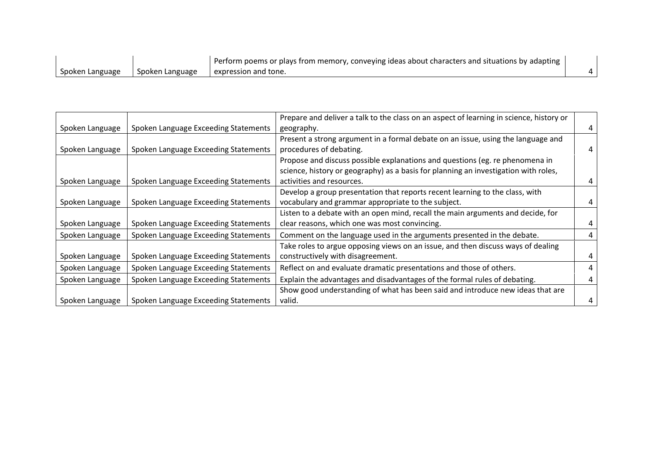|                 |                 | Perform poems or plays from memory, conveying ideas about characters and situations by adapting |  |
|-----------------|-----------------|-------------------------------------------------------------------------------------------------|--|
| Spoken Language | Spoken Language | expression and tone.                                                                            |  |

|                 |                                      | Prepare and deliver a talk to the class on an aspect of learning in science, history or |  |
|-----------------|--------------------------------------|-----------------------------------------------------------------------------------------|--|
| Spoken Language | Spoken Language Exceeding Statements | geography.                                                                              |  |
|                 |                                      | Present a strong argument in a formal debate on an issue, using the language and        |  |
| Spoken Language | Spoken Language Exceeding Statements | procedures of debating.                                                                 |  |
|                 |                                      | Propose and discuss possible explanations and questions (eg. re phenomena in            |  |
|                 |                                      | science, history or geography) as a basis for planning an investigation with roles,     |  |
| Spoken Language | Spoken Language Exceeding Statements | activities and resources.                                                               |  |
|                 |                                      | Develop a group presentation that reports recent learning to the class, with            |  |
| Spoken Language | Spoken Language Exceeding Statements | vocabulary and grammar appropriate to the subject.                                      |  |
|                 |                                      | Listen to a debate with an open mind, recall the main arguments and decide, for         |  |
| Spoken Language | Spoken Language Exceeding Statements | clear reasons, which one was most convincing.                                           |  |
| Spoken Language | Spoken Language Exceeding Statements | Comment on the language used in the arguments presented in the debate.                  |  |
|                 |                                      | Take roles to argue opposing views on an issue, and then discuss ways of dealing        |  |
| Spoken Language | Spoken Language Exceeding Statements | constructively with disagreement.                                                       |  |
| Spoken Language | Spoken Language Exceeding Statements | Reflect on and evaluate dramatic presentations and those of others.                     |  |
| Spoken Language | Spoken Language Exceeding Statements | Explain the advantages and disadvantages of the formal rules of debating.               |  |
|                 |                                      | Show good understanding of what has been said and introduce new ideas that are          |  |
| Spoken Language | Spoken Language Exceeding Statements | valid.                                                                                  |  |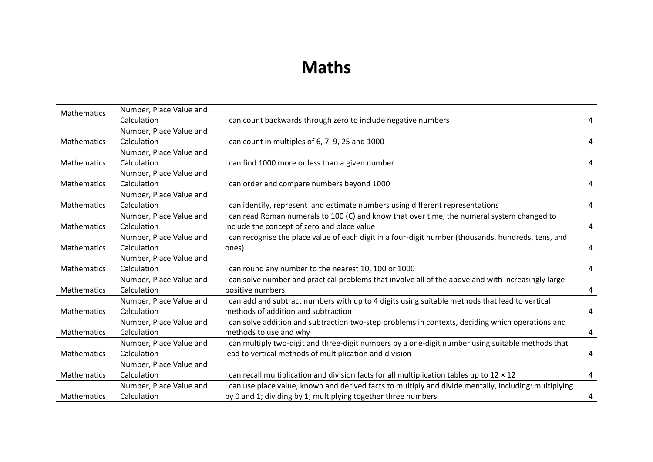#### **Maths**

| Mathematics        | Number, Place Value and |                                                                                                        |                |
|--------------------|-------------------------|--------------------------------------------------------------------------------------------------------|----------------|
|                    | Calculation             | I can count backwards through zero to include negative numbers                                         | 4              |
|                    | Number, Place Value and |                                                                                                        |                |
| Mathematics        | Calculation             | I can count in multiples of 6, 7, 9, 25 and 1000                                                       | 4              |
|                    | Number, Place Value and |                                                                                                        |                |
| Mathematics        | Calculation             | I can find 1000 more or less than a given number                                                       | $\overline{4}$ |
|                    | Number, Place Value and |                                                                                                        |                |
| Mathematics        | Calculation             | I can order and compare numbers beyond 1000                                                            | 4              |
|                    | Number, Place Value and |                                                                                                        |                |
| Mathematics        | Calculation             | I can identify, represent and estimate numbers using different representations                         | 4              |
|                    | Number, Place Value and | I can read Roman numerals to 100 (C) and know that over time, the numeral system changed to            |                |
| Mathematics        | Calculation             | include the concept of zero and place value                                                            | 4              |
|                    | Number, Place Value and | I can recognise the place value of each digit in a four-digit number (thousands, hundreds, tens, and   |                |
| Mathematics        | Calculation             | ones)                                                                                                  | 4              |
|                    | Number, Place Value and |                                                                                                        |                |
| Mathematics        | Calculation             | I can round any number to the nearest 10, 100 or 1000                                                  | $\overline{4}$ |
|                    | Number, Place Value and | I can solve number and practical problems that involve all of the above and with increasingly large    |                |
| <b>Mathematics</b> | Calculation             | positive numbers                                                                                       | 4              |
|                    | Number, Place Value and | I can add and subtract numbers with up to 4 digits using suitable methods that lead to vertical        |                |
| Mathematics        | Calculation             | methods of addition and subtraction                                                                    | 4              |
|                    | Number, Place Value and | I can solve addition and subtraction two-step problems in contexts, deciding which operations and      |                |
| Mathematics        | Calculation             | methods to use and why                                                                                 | $\overline{4}$ |
|                    | Number, Place Value and | I can multiply two-digit and three-digit numbers by a one-digit number using suitable methods that     |                |
| Mathematics        | Calculation             | lead to vertical methods of multiplication and division                                                | 4              |
|                    | Number, Place Value and |                                                                                                        |                |
| Mathematics        | Calculation             | I can recall multiplication and division facts for all multiplication tables up to $12 \times 12$      | 4              |
|                    | Number, Place Value and | I can use place value, known and derived facts to multiply and divide mentally, including: multiplying |                |
| Mathematics        | Calculation             | by 0 and 1; dividing by 1; multiplying together three numbers                                          | 4              |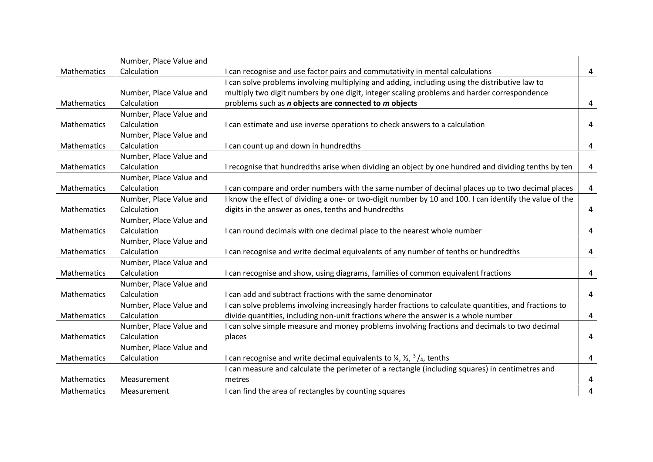|                    | Number, Place Value and |                                                                                                         |                |
|--------------------|-------------------------|---------------------------------------------------------------------------------------------------------|----------------|
| <b>Mathematics</b> | Calculation             | I can recognise and use factor pairs and commutativity in mental calculations                           | 4              |
|                    |                         | I can solve problems involving multiplying and adding, including using the distributive law to          |                |
|                    | Number, Place Value and | multiply two digit numbers by one digit, integer scaling problems and harder correspondence             |                |
| Mathematics        | Calculation             | problems such as <i>n</i> objects are connected to <i>m</i> objects                                     | 4              |
|                    | Number, Place Value and |                                                                                                         |                |
| Mathematics        | Calculation             | I can estimate and use inverse operations to check answers to a calculation                             | 4              |
|                    | Number, Place Value and |                                                                                                         |                |
| Mathematics        | Calculation             | I can count up and down in hundredths                                                                   | 4              |
|                    | Number, Place Value and |                                                                                                         |                |
| Mathematics        | Calculation             | I recognise that hundredths arise when dividing an object by one hundred and dividing tenths by ten     | 4              |
|                    | Number, Place Value and |                                                                                                         |                |
| Mathematics        | Calculation             | I can compare and order numbers with the same number of decimal places up to two decimal places         | 4              |
|                    | Number, Place Value and | I know the effect of dividing a one- or two-digit number by 10 and 100. I can identify the value of the |                |
| Mathematics        | Calculation             | digits in the answer as ones, tenths and hundredths                                                     | 4              |
|                    | Number, Place Value and |                                                                                                         |                |
| Mathematics        | Calculation             | I can round decimals with one decimal place to the nearest whole number                                 | 4              |
|                    | Number, Place Value and |                                                                                                         |                |
| Mathematics        | Calculation             | I can recognise and write decimal equivalents of any number of tenths or hundredths                     | $\overline{a}$ |
|                    | Number, Place Value and |                                                                                                         |                |
| <b>Mathematics</b> | Calculation             | I can recognise and show, using diagrams, families of common equivalent fractions                       | 4              |
|                    | Number, Place Value and |                                                                                                         |                |
| Mathematics        | Calculation             | I can add and subtract fractions with the same denominator                                              | 4              |
|                    | Number, Place Value and | I can solve problems involving increasingly harder fractions to calculate quantities, and fractions to  |                |
| <b>Mathematics</b> | Calculation             | divide quantities, including non-unit fractions where the answer is a whole number                      | 4              |
|                    | Number, Place Value and | I can solve simple measure and money problems involving fractions and decimals to two decimal           |                |
| Mathematics        | Calculation             | places                                                                                                  | 4              |
|                    | Number, Place Value and |                                                                                                         |                |
| Mathematics        | Calculation             | I can recognise and write decimal equivalents to $\frac{1}{4}$ , $\frac{1}{2}$ , $\frac{3}{4}$ , tenths | 4              |
|                    |                         | I can measure and calculate the perimeter of a rectangle (including squares) in centimetres and         |                |
| Mathematics        | Measurement             | metres                                                                                                  | 4              |
| Mathematics        | Measurement             | I can find the area of rectangles by counting squares                                                   | 4              |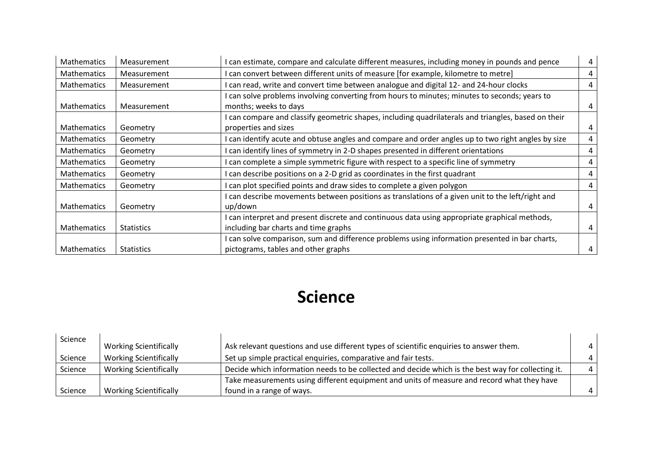| <b>Mathematics</b> | Measurement                                                                           | I can estimate, compare and calculate different measures, including money in pounds and pence     | 4 |
|--------------------|---------------------------------------------------------------------------------------|---------------------------------------------------------------------------------------------------|---|
| <b>Mathematics</b> | Measurement                                                                           | can convert between different units of measure [for example, kilometre to metre]                  | 4 |
| <b>Mathematics</b> | Measurement                                                                           | can read, write and convert time between analogue and digital 12- and 24-hour clocks              | 4 |
|                    |                                                                                       | can solve problems involving converting from hours to minutes; minutes to seconds; years to       |   |
| <b>Mathematics</b> | Measurement                                                                           | months; weeks to days                                                                             | 4 |
|                    |                                                                                       | can compare and classify geometric shapes, including quadrilaterals and triangles, based on their |   |
| <b>Mathematics</b> | Geometry                                                                              | properties and sizes                                                                              | 4 |
| <b>Mathematics</b> | Geometry                                                                              | can identify acute and obtuse angles and compare and order angles up to two right angles by size  | 4 |
| <b>Mathematics</b> | Geometry                                                                              | can identify lines of symmetry in 2-D shapes presented in different orientations                  | 4 |
| <b>Mathematics</b> | Geometry                                                                              | can complete a simple symmetric figure with respect to a specific line of symmetry                | 4 |
| <b>Mathematics</b> | can describe positions on a 2-D grid as coordinates in the first quadrant<br>Geometry |                                                                                                   | 4 |
| <b>Mathematics</b> | Geometry                                                                              | can plot specified points and draw sides to complete a given polygon                              | 4 |
|                    |                                                                                       | can describe movements between positions as translations of a given unit to the left/right and    |   |
| Mathematics        | Geometry                                                                              | up/down                                                                                           | 4 |
|                    |                                                                                       | I can interpret and present discrete and continuous data using appropriate graphical methods,     |   |
| <b>Mathematics</b> | <b>Statistics</b>                                                                     | including bar charts and time graphs                                                              | 4 |
|                    |                                                                                       | can solve comparison, sum and difference problems using information presented in bar charts,      |   |
| <b>Mathematics</b> | <b>Statistics</b>                                                                     | pictograms, tables and other graphs                                                               | 4 |

## **Science**

| Science |                               |                                                                                                    |           |
|---------|-------------------------------|----------------------------------------------------------------------------------------------------|-----------|
|         | <b>Working Scientifically</b> | Ask relevant questions and use different types of scientific enquiries to answer them.             |           |
| Science | <b>Working Scientifically</b> | Set up simple practical enquiries, comparative and fair tests.                                     |           |
| Science | <b>Working Scientifically</b> | Decide which information needs to be collected and decide which is the best way for collecting it. | $\Lambda$ |
|         |                               | Take measurements using different equipment and units of measure and record what they have         |           |
| Science | <b>Working Scientifically</b> | found in a range of ways.                                                                          |           |

٠.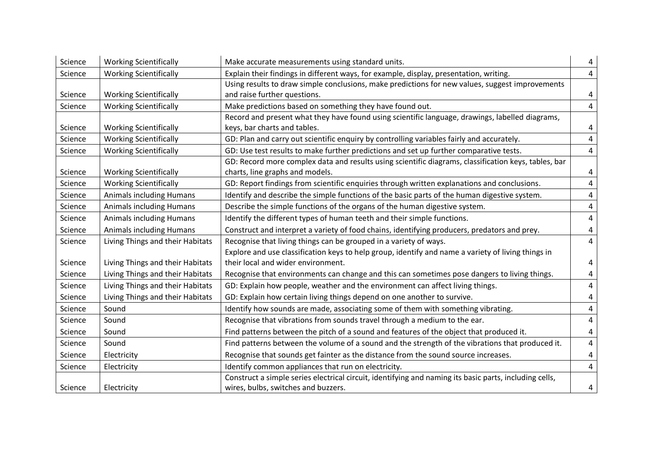| Science | <b>Working Scientifically</b>    | Make accurate measurements using standard units.                                                                                              | 4              |
|---------|----------------------------------|-----------------------------------------------------------------------------------------------------------------------------------------------|----------------|
| Science | <b>Working Scientifically</b>    | Explain their findings in different ways, for example, display, presentation, writing.                                                        | $\overline{4}$ |
| Science | <b>Working Scientifically</b>    | Using results to draw simple conclusions, make predictions for new values, suggest improvements<br>and raise further questions.               | 4              |
| Science | <b>Working Scientifically</b>    | Make predictions based on something they have found out.                                                                                      | $\overline{4}$ |
| Science | <b>Working Scientifically</b>    | Record and present what they have found using scientific language, drawings, labelled diagrams,<br>keys, bar charts and tables.               | 4              |
| Science | <b>Working Scientifically</b>    | GD: Plan and carry out scientific enquiry by controlling variables fairly and accurately.                                                     | $\overline{4}$ |
| Science | <b>Working Scientifically</b>    | GD: Use test results to make further predictions and set up further comparative tests.                                                        | $\overline{4}$ |
| Science | <b>Working Scientifically</b>    | GD: Record more complex data and results using scientific diagrams, classification keys, tables, bar<br>charts, line graphs and models.       | 4              |
| Science | <b>Working Scientifically</b>    | GD: Report findings from scientific enquiries through written explanations and conclusions.                                                   | $\overline{4}$ |
| Science | <b>Animals including Humans</b>  | Identify and describe the simple functions of the basic parts of the human digestive system.                                                  | $\overline{4}$ |
| Science | <b>Animals including Humans</b>  | Describe the simple functions of the organs of the human digestive system.                                                                    | 4              |
| Science | <b>Animals including Humans</b>  | Identify the different types of human teeth and their simple functions.                                                                       | 4              |
| Science | <b>Animals including Humans</b>  | Construct and interpret a variety of food chains, identifying producers, predators and prey.                                                  | 4              |
| Science | Living Things and their Habitats | Recognise that living things can be grouped in a variety of ways.                                                                             | $\overline{4}$ |
| Science | Living Things and their Habitats | Explore and use classification keys to help group, identify and name a variety of living things in<br>their local and wider environment.      | 4              |
| Science | Living Things and their Habitats | Recognise that environments can change and this can sometimes pose dangers to living things.                                                  | 4              |
| Science | Living Things and their Habitats | GD: Explain how people, weather and the environment can affect living things.                                                                 | 4              |
| Science | Living Things and their Habitats | GD: Explain how certain living things depend on one another to survive.                                                                       | 4              |
| Science | Sound                            | Identify how sounds are made, associating some of them with something vibrating.                                                              | 4              |
| Science | Sound                            | Recognise that vibrations from sounds travel through a medium to the ear.                                                                     | 4              |
| Science | Sound                            | Find patterns between the pitch of a sound and features of the object that produced it.                                                       | $\overline{4}$ |
| Science | Sound                            | Find patterns between the volume of a sound and the strength of the vibrations that produced it.                                              | $\overline{4}$ |
| Science | Electricity                      | Recognise that sounds get fainter as the distance from the sound source increases.                                                            | 4              |
| Science | Electricity                      | Identify common appliances that run on electricity.                                                                                           | $\overline{4}$ |
| Science | Electricity                      | Construct a simple series electrical circuit, identifying and naming its basic parts, including cells,<br>wires, bulbs, switches and buzzers. | 4              |